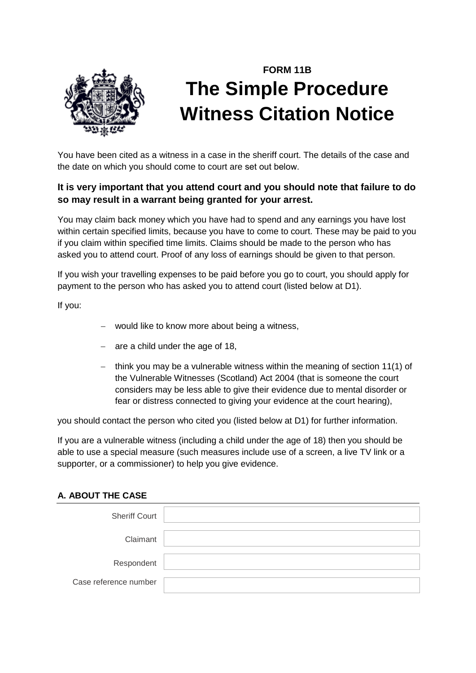

# **FORM 11B The Simple Procedure Witness Citation Notice**

You have been cited as a witness in a case in the sheriff court. The details of the case and the date on which you should come to court are set out below.

## **It is very important that you attend court and you should note that failure to do so may result in a warrant being granted for your arrest.**

You may claim back money which you have had to spend and any earnings you have lost within certain specified limits, because you have to come to court. These may be paid to you if you claim within specified time limits. Claims should be made to the person who has asked you to attend court. Proof of any loss of earnings should be given to that person.

If you wish your travelling expenses to be paid before you go to court, you should apply for payment to the person who has asked you to attend court (listed below at D1).

If you:

- − would like to know more about being a witness,
- − are a child under the age of 18,
- − think you may be a vulnerable witness within the meaning of section 11(1) of the Vulnerable Witnesses (Scotland) Act 2004 (that is someone the court considers may be less able to give their evidence due to mental disorder or fear or distress connected to giving your evidence at the court hearing),

you should contact the person who cited you (listed below at D1) for further information.

If you are a vulnerable witness (including a child under the age of 18) then you should be able to use a special measure (such measures include use of a screen, a live TV link or a supporter, or a commissioner) to help you give evidence.

#### **A. ABOUT THE CASE**

| <b>Sheriff Court</b>  |  |
|-----------------------|--|
| Claimant              |  |
| Respondent            |  |
| Case reference number |  |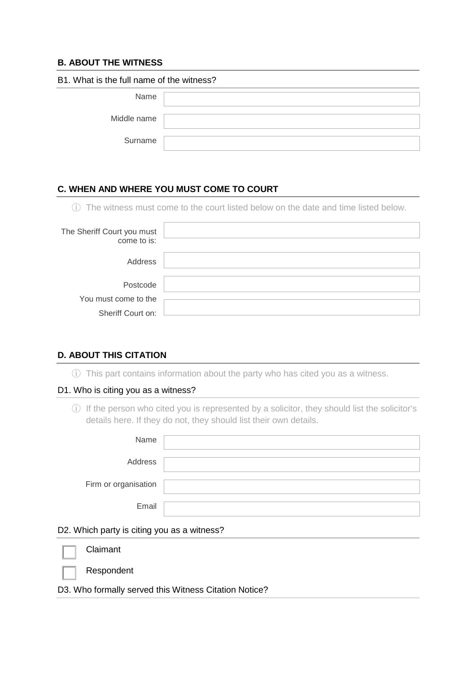## **B. ABOUT THE WITNESS**

| B1. What is the full name of the witness? |  |  |
|-------------------------------------------|--|--|
| Name                                      |  |  |
| Middle name                               |  |  |
| Surname                                   |  |  |

### **C. WHEN AND WHERE YOU MUST COME TO COURT**

ⓘ The witness must come to the court listed below on the date and time listed below.

| The Sheriff Court you must<br>come to is: |  |
|-------------------------------------------|--|
| Address                                   |  |
| Postcode                                  |  |
| You must come to the                      |  |
| Sheriff Court on:                         |  |

#### **D. ABOUT THIS CITATION**

ⓘ This part contains information about the party who has cited you as a witness.

#### D1. Who is citing you as a witness?

ⓘ If the person who cited you is represented by a solicitor, they should list the solicitor's details here. If they do not, they should list their own details.

| Name                 |  |
|----------------------|--|
| Address              |  |
| Firm or organisation |  |
| Email                |  |

#### D2. Which party is citing you as a witness?

| $\mathbb{L}$ | Claimant   |          |                             |  |
|--------------|------------|----------|-----------------------------|--|
|              | Respondent |          |                             |  |
| <b></b>      |            | $\cdots$ | $\sim$ $\sim$ $\sim$ $\sim$ |  |

D3. Who formally served this Witness Citation Notice?